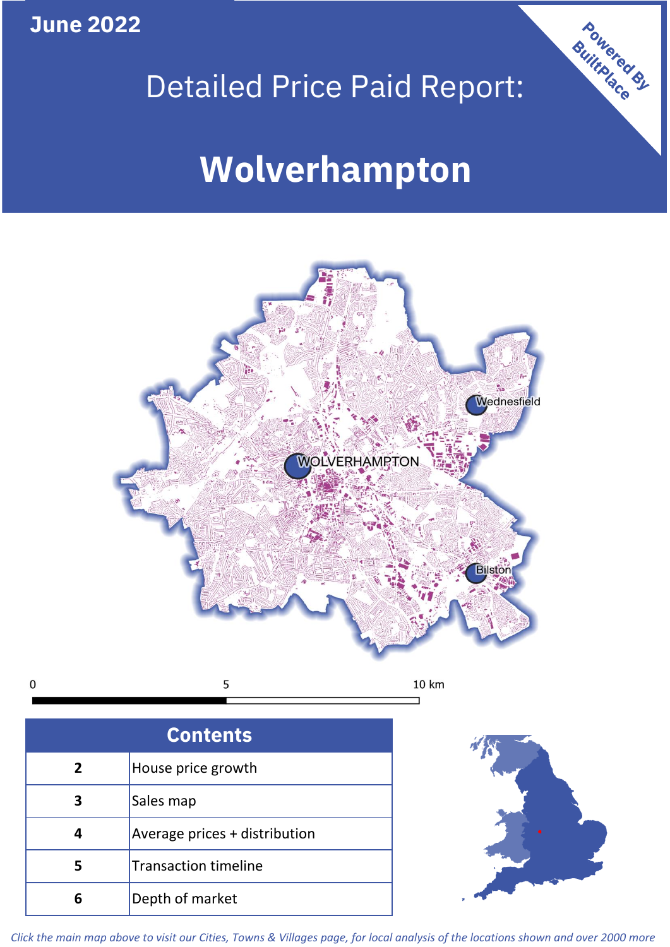**June 2022**





 $\mathbf 0$ 5 10 km

| <b>Contents</b> |                               |  |  |
|-----------------|-------------------------------|--|--|
| $\overline{2}$  | House price growth            |  |  |
| 3               | Sales map                     |  |  |
|                 | Average prices + distribution |  |  |
| 5               | <b>Transaction timeline</b>   |  |  |
|                 | Depth of market               |  |  |



*Click the main map above to visit our Cities, Towns & Villages page, for local analysis of the locations shown and over 2000 more*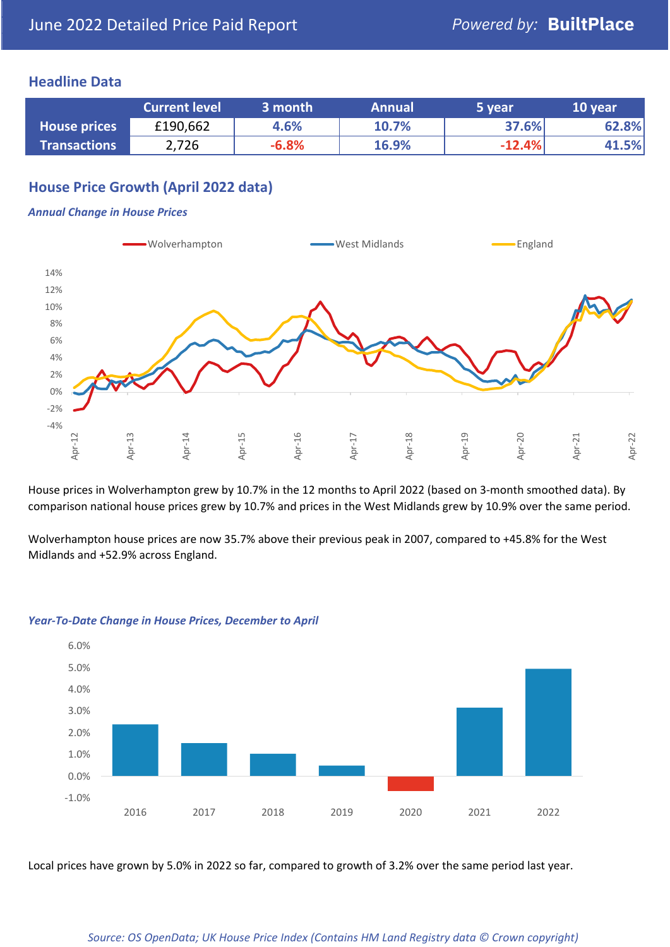## **Headline Data**

|                     | <b>Current level</b> | 3 month | <b>Annual</b> | 5 year   | 10 year |
|---------------------|----------------------|---------|---------------|----------|---------|
| <b>House prices</b> | £190,662             | 4.6%    | 10.7%         | 37.6%    | 62.8%   |
| <b>Transactions</b> | 2,726                | $-6.8%$ | 16.9%         | $-12.4%$ | 41.5%   |

# **House Price Growth (April 2022 data)**

#### *Annual Change in House Prices*



House prices in Wolverhampton grew by 10.7% in the 12 months to April 2022 (based on 3-month smoothed data). By comparison national house prices grew by 10.7% and prices in the West Midlands grew by 10.9% over the same period.

Wolverhampton house prices are now 35.7% above their previous peak in 2007, compared to +45.8% for the West Midlands and +52.9% across England.



#### *Year-To-Date Change in House Prices, December to April*

Local prices have grown by 5.0% in 2022 so far, compared to growth of 3.2% over the same period last year.

#### *Source: OS OpenData; UK House Price Index (Contains HM Land Registry data © Crown copyright)*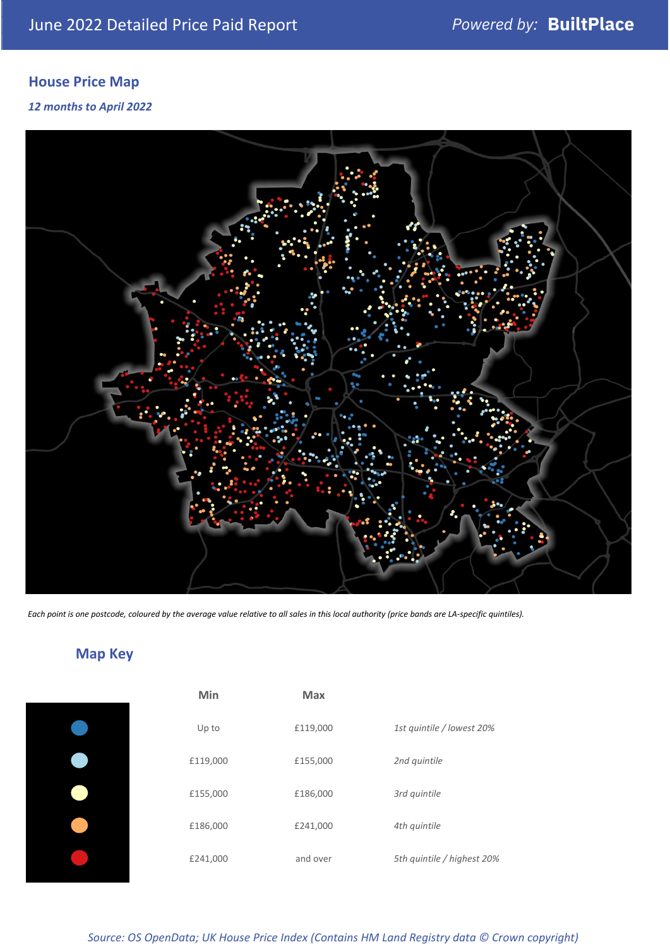# **House Price Map**

#### *12 months to April 2022*



*Each point is one postcode, coloured by the average value relative to all sales in this local authority (price bands are LA-specific quintiles).*

**Map Key**

| Min      | <b>Max</b> |                            |
|----------|------------|----------------------------|
| Up to    | £119,000   | 1st quintile / lowest 20%  |
| £119,000 | £155,000   | 2nd quintile               |
| £155,000 | £186,000   | 3rd quintile               |
| £186,000 | £241,000   | 4th quintile               |
| £241,000 | and over   | 5th quintile / highest 20% |

#### *Source: OS OpenData; UK House Price Index (Contains HM Land Registry data © Crown copyright)*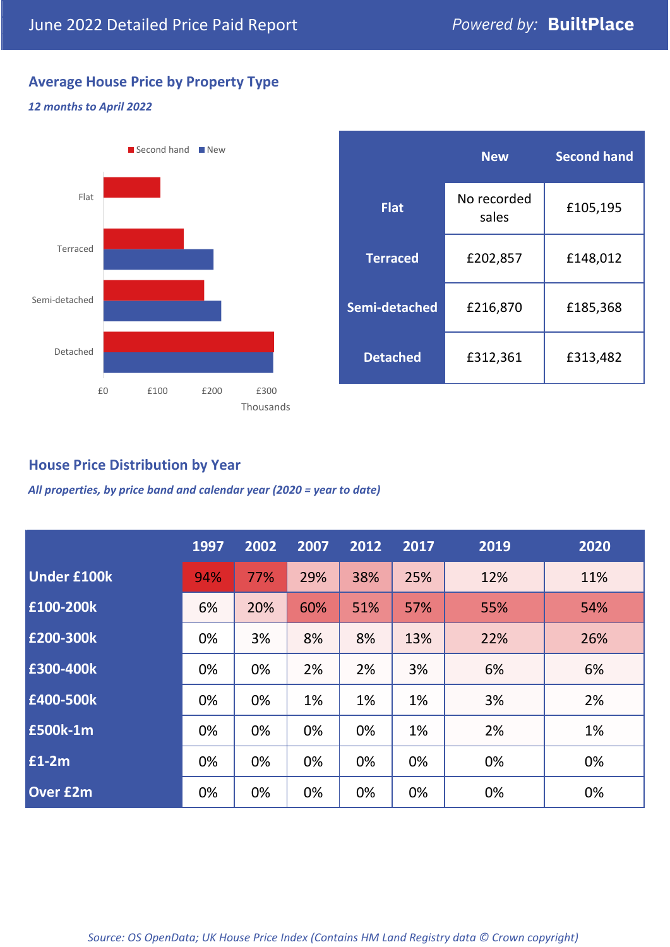# **Average House Price by Property Type**

### *12 months to April 2022*



|                 | <b>New</b>           | <b>Second hand</b> |  |  |
|-----------------|----------------------|--------------------|--|--|
| <b>Flat</b>     | No recorded<br>sales | £105,195           |  |  |
| <b>Terraced</b> | £202,857             | £148,012           |  |  |
| Semi-detached   | £216,870             | £185,368           |  |  |
| <b>Detached</b> | £312,361             | £313,482           |  |  |

# **House Price Distribution by Year**

*All properties, by price band and calendar year (2020 = year to date)*

|                    | 1997 | 2002 | 2007 | 2012 | 2017 | 2019 | 2020 |
|--------------------|------|------|------|------|------|------|------|
| <b>Under £100k</b> | 94%  | 77%  | 29%  | 38%  | 25%  | 12%  | 11%  |
| £100-200k          | 6%   | 20%  | 60%  | 51%  | 57%  | 55%  | 54%  |
| E200-300k          | 0%   | 3%   | 8%   | 8%   | 13%  | 22%  | 26%  |
| £300-400k          | 0%   | 0%   | 2%   | 2%   | 3%   | 6%   | 6%   |
| £400-500k          | 0%   | 0%   | 1%   | 1%   | 1%   | 3%   | 2%   |
| <b>£500k-1m</b>    | 0%   | 0%   | 0%   | 0%   | 1%   | 2%   | 1%   |
| £1-2m              | 0%   | 0%   | 0%   | 0%   | 0%   | 0%   | 0%   |
| <b>Over £2m</b>    | 0%   | 0%   | 0%   | 0%   | 0%   | 0%   | 0%   |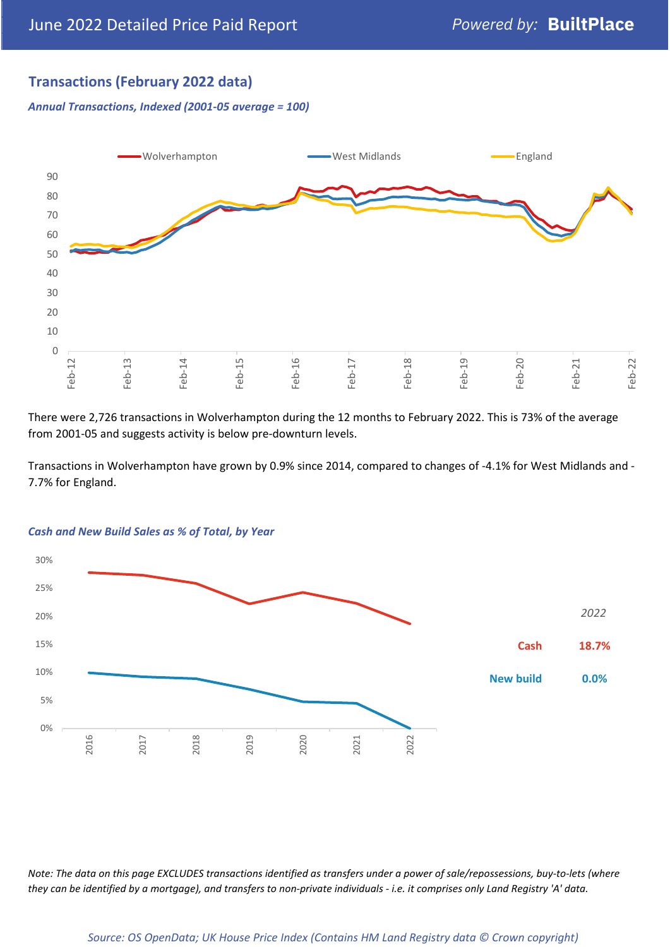# **Transactions (February 2022 data)**

*Annual Transactions, Indexed (2001-05 average = 100)*



There were 2,726 transactions in Wolverhampton during the 12 months to February 2022. This is 73% of the average from 2001-05 and suggests activity is below pre-downturn levels.

Transactions in Wolverhampton have grown by 0.9% since 2014, compared to changes of -4.1% for West Midlands and - 7.7% for England.



#### *Cash and New Build Sales as % of Total, by Year*

*Note: The data on this page EXCLUDES transactions identified as transfers under a power of sale/repossessions, buy-to-lets (where they can be identified by a mortgage), and transfers to non-private individuals - i.e. it comprises only Land Registry 'A' data.*